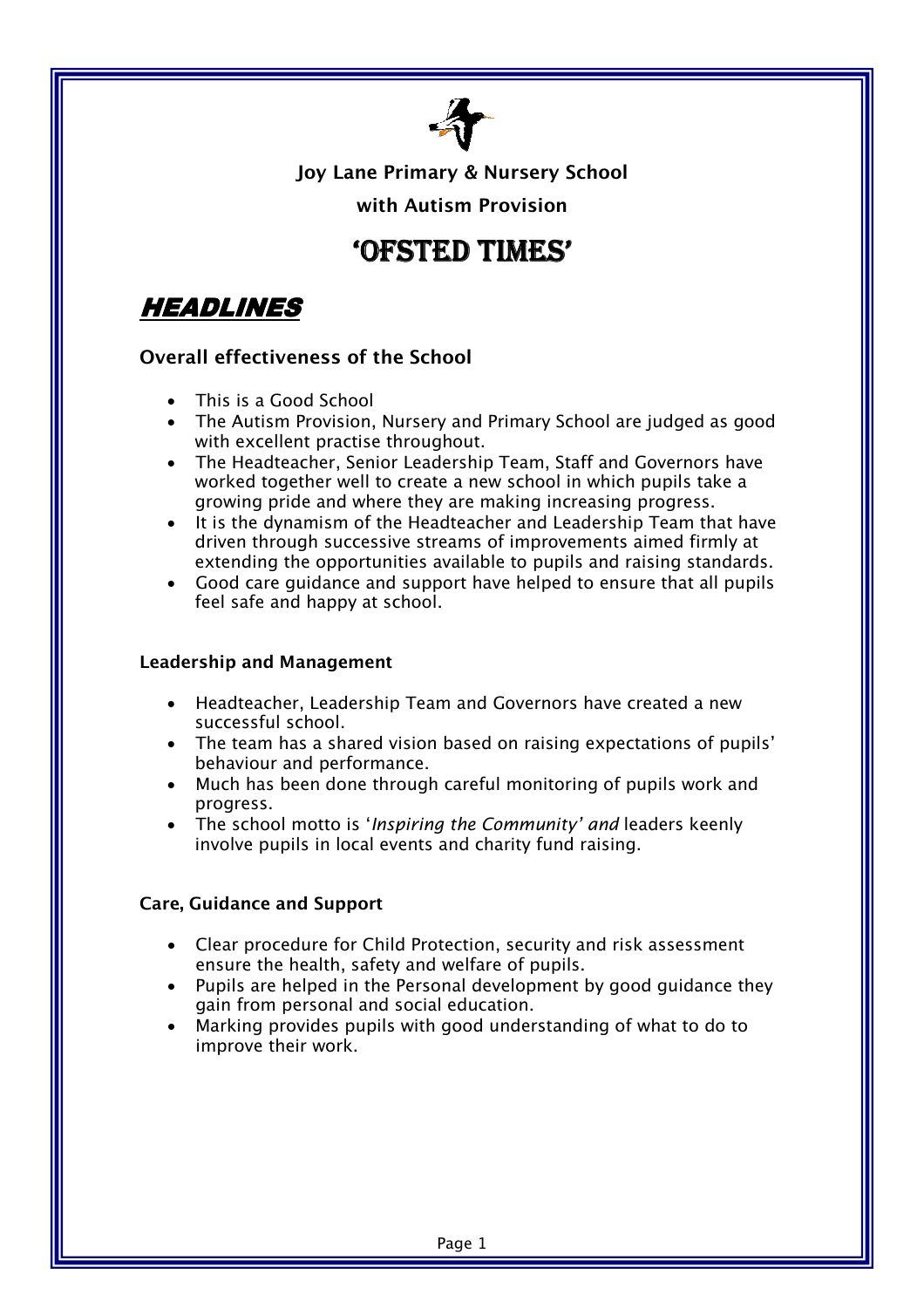

Joy Lane Primary & Nursery School

with Autism Provision

# 'OFSTED TIMES'

HEADLINES

## Overall effectiveness of the School

- This is a Good School
- The Autism Provision, Nursery and Primary School are judged as good with excellent practise throughout.
- The Headteacher, Senior Leadership Team, Staff and Governors have worked together well to create a new school in which pupils take a growing pride and where they are making increasing progress.
- It is the dynamism of the Headteacher and Leadership Team that have driven through successive streams of improvements aimed firmly at extending the opportunities available to pupils and raising standards.
- Good care guidance and support have helped to ensure that all pupils feel safe and happy at school.

#### Leadership and Management

- Headteacher, Leadership Team and Governors have created a new successful school.
- The team has a shared vision based on raising expectations of pupils' behaviour and performance.
- Much has been done through careful monitoring of pupils work and progress.
- The school motto is 'Inspiring the Community' and leaders keenly involve pupils in local events and charity fund raising.

#### Care, Guidance and Support

- Clear procedure for Child Protection, security and risk assessment ensure the health, safety and welfare of pupils.
- Pupils are helped in the Personal development by good guidance they gain from personal and social education.
- Marking provides pupils with good understanding of what to do to improve their work.